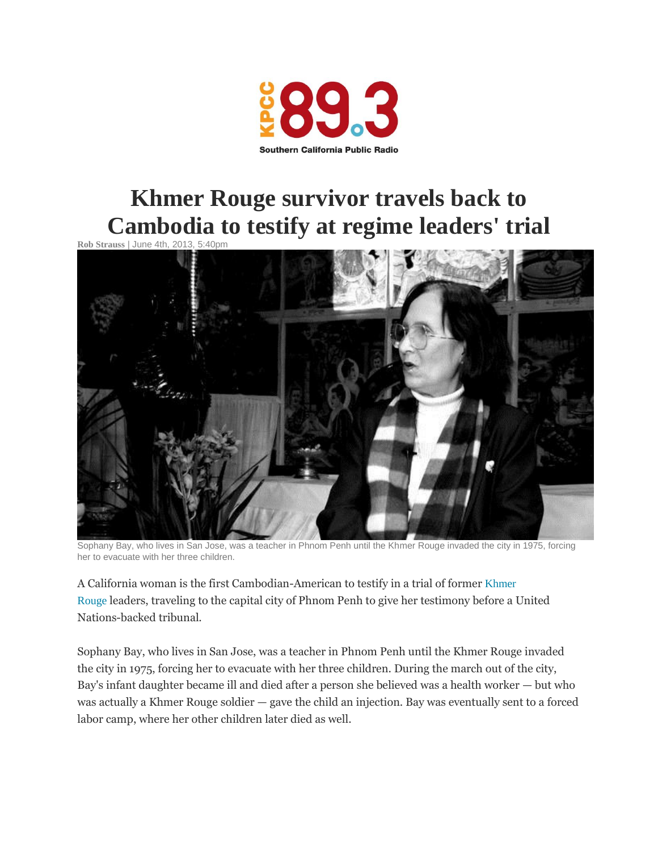

## **Khmer Rouge [survivor](http://www.scpr.org/blogs/multiamerican/2013/06/04/13887/khmer-rouge-survivor-travels-back-to-cambodia-to-t/) travels back to [Cambodia](http://www.scpr.org/blogs/multiamerican/2013/06/04/13887/khmer-rouge-survivor-travels-back-to-cambodia-to-t/) to testify at regime leaders' trial**

**Rob [Strauss](http://www.scpr.org/about/people/staff/rob-strauss)** | June 4th, 2013,



Sophany Bay, who lives in San Jose, was a teacher in Phnom Penh until the Khmer Rouge invaded the city in 1975, forcing her to evacuate with her three children.

A California woman is the first Cambodian-American to testify in a trial of former [Khmer](http://www.cambodiatribunal.org/history/khmer-rouge-history) [Rouge](http://www.cambodiatribunal.org/history/khmer-rouge-history) leaders, traveling to the capital city of Phnom Penh to give her testimony before a United Nations-backed tribunal.

Sophany Bay, who lives in San Jose, was a teacher in Phnom Penh until the Khmer Rouge invaded the city in 1975, forcing her to evacuate with her three children. During the march out of the city, Bay's infant daughter became ill and died after a person she believed was a health worker — but who was actually a Khmer Rouge soldier — gave the child an injection. Bay was eventually sent to a forced labor camp, where her other children later died as well.